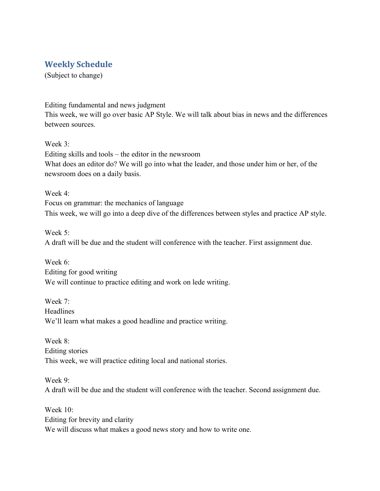## **Weekly Schedule**

(Subject to change)

Editing fundamental and news judgment This week, we will go over basic AP Style. We will talk about bias in news and the differences between sources.

Week 3: Editing skills and tools – the editor in the newsroom What does an editor do? We will go into what the leader, and those under him or her, of the newsroom does on a daily basis.

Week 4: Focus on grammar: the mechanics of language This week, we will go into a deep dive of the differences between styles and practice AP style.

Week 5: A draft will be due and the student will conference with the teacher. First assignment due.

Week 6<sup>.</sup> Editing for good writing We will continue to practice editing and work on lede writing.

Week 7: Headlines We'll learn what makes a good headline and practice writing.

Week 8<sup>-</sup> Editing stories This week, we will practice editing local and national stories.

Week 9: A draft will be due and the student will conference with the teacher. Second assignment due.

Week 10: Editing for brevity and clarity We will discuss what makes a good news story and how to write one.